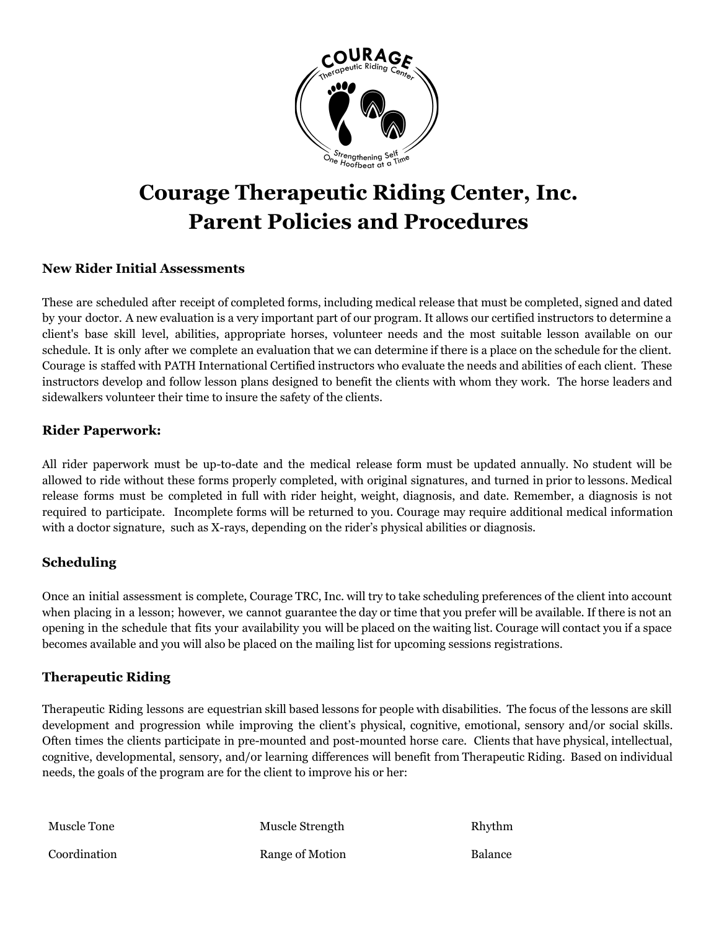

# **Courage Therapeutic Riding Center, Inc. Parent Policies and Procedures**

### **New Rider Initial Assessments**

These are scheduled after receipt of completed forms, including medical release that must be completed, signed and dated by your doctor. A new evaluation is a very important part of our program. It allows our certified instructors to determine a client's base skill level, abilities, appropriate horses, volunteer needs and the most suitable lesson available on our schedule. It is only after we complete an evaluation that we can determine if there is a place on the schedule for the client. Courage is staffed with PATH International Certified instructors who evaluate the needs and abilities of each client. These instructors develop and follow lesson plans designed to benefit the clients with whom they work. The horse leaders and sidewalkers volunteer their time to insure the safety of the clients.

### **Rider Paperwork:**

All rider paperwork must be up-to-date and the medical release form must be updated annually. No student will be allowed to ride without these forms properly completed, with original signatures, and turned in prior to lessons. Medical release forms must be completed in full with rider height, weight, diagnosis, and date. Remember, a diagnosis is not required to participate. Incomplete forms will be returned to you. Courage may require additional medical information with a doctor signature, such as X-rays, depending on the rider's physical abilities or diagnosis.

### **Scheduling**

Once an initial assessment is complete, Courage TRC, Inc. will try to take scheduling preferences of the client into account when placing in a lesson; however, we cannot guarantee the day or time that you prefer will be available. If there is not an opening in the schedule that fits your availability you will be placed on the waiting list. Courage will contact you if a space becomes available and you will also be placed on the mailing list for upcoming sessions registrations.

### **Therapeutic Riding**

Therapeutic Riding lessons are equestrian skill based lessons for people with disabilities. The focus of the lessons are skill development and progression while improving the client's physical, cognitive, emotional, sensory and/or social skills. Often times the clients participate in pre-mounted and post-mounted horse care. Clients that have physical, intellectual, cognitive, developmental, sensory, and/or learning differences will benefit from Therapeutic Riding. Based on individual needs, the goals of the program are for the client to improve his or her:

| Muscle Tone  | Muscle Strength | Rhythm         |
|--------------|-----------------|----------------|
| Coordination | Range of Motion | <b>Balance</b> |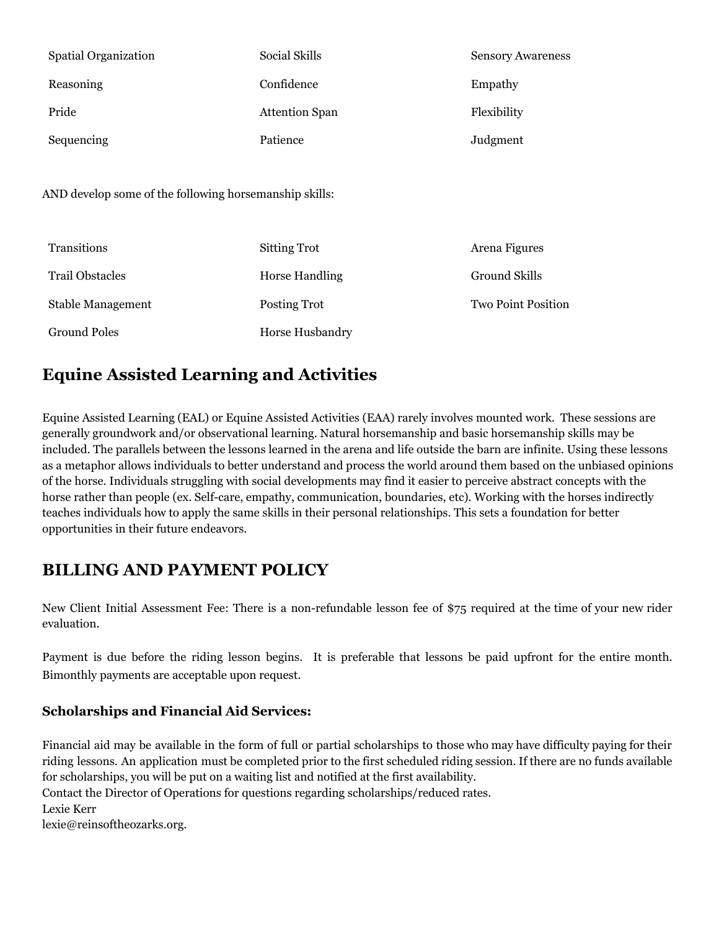| <b>Spatial Organization</b> | Social Skills         | <b>Sensory Awareness</b> |
|-----------------------------|-----------------------|--------------------------|
| Reasoning                   | Confidence            | Empathy                  |
| Pride                       | <b>Attention Span</b> | Flexibility              |
| Sequencing                  | Patience              | Judgment                 |

AND develop some of the following horsemanship skills:

| Transitions            | <b>Sitting Trot</b>   | Arena Figures             |
|------------------------|-----------------------|---------------------------|
| <b>Trail Obstacles</b> | <b>Horse Handling</b> | Ground Skills             |
| Stable Management      | Posting Trot          | <b>Two Point Position</b> |
| <b>Ground Poles</b>    | Horse Husbandry       |                           |

# **Equine Assisted Learning and Activities**

Equine Assisted Learning (EAL) or Equine Assisted Activities (EAA) rarely involves mounted work. These sessions are generally groundwork and/or observational learning. Natural horsemanship and basic horsemanship skills may be included. The parallels between the lessons learned in the arena and life outside the barn are infinite. Using these lessons as a metaphor allows individuals to better understand and process the world around them based on the unbiased opinions of the horse. Individuals struggling with social developments may find it easier to perceive abstract concepts with the horse rather than people (ex. Self-care, empathy, communication, boundaries, etc). Working with the horses indirectly teaches individuals how to apply the same skills in their personal relationships. This sets a foundation for better opportunities in their future endeavors.

# **BILLING AND PAYMENT POLICY**

New Client Initial Assessment Fee: There is a non-refundable lesson fee of \$75 required at the time of your new rider evaluation.

Payment is due before the riding lesson begins. It is preferable that lessons be paid upfront for the entire month. Bimonthly payments are acceptable upon request.

## **Scholarships and Financial Aid Services:**

Financial aid may be available in the form of full or partial scholarships to those who may have difficulty paying for their riding lessons. An application must be completed prior to the first scheduled riding session. If there are no funds available for scholarships, you will be put on a waiting list and notified at the first availability.

Contact the Director of Operations for questions regarding scholarships/reduced rates. Lexie Kerr

lexie@reinsoftheozarks.org.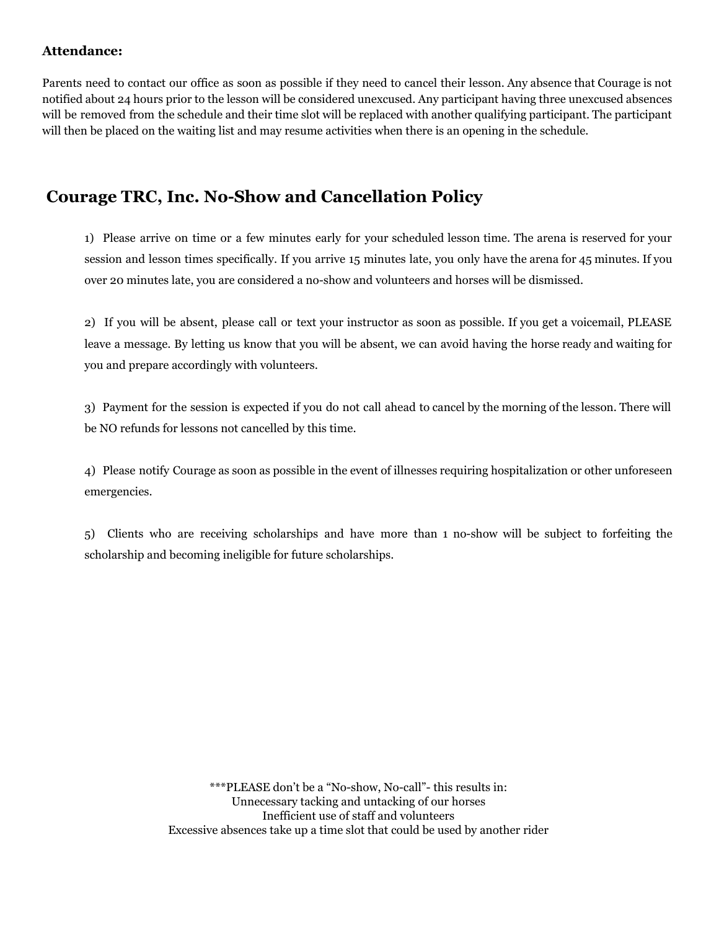### **Attendance:**

Parents need to contact our office as soon as possible if they need to cancel their lesson. Any absence that Courage is not notified about 24 hours prior to the lesson will be considered unexcused. Any participant having three unexcused absences will be removed from the schedule and their time slot will be replaced with another qualifying participant. The participant will then be placed on the waiting list and may resume activities when there is an opening in the schedule.

# **Courage TRC, Inc. No-Show and Cancellation Policy**

1) Please arrive on time or a few minutes early for your scheduled lesson time. The arena is reserved for your session and lesson times specifically. If you arrive 15 minutes late, you only have the arena for 45 minutes. If you over 20 minutes late, you are considered a no-show and volunteers and horses will be dismissed.

2) If you will be absent, please call or text your instructor as soon as possible. If you get a voicemail, PLEASE leave a message. By letting us know that you will be absent, we can avoid having the horse ready and waiting for you and prepare accordingly with volunteers.

3) Payment for the session is expected if you do not call ahead to cancel by the morning of the lesson. There will be NO refunds for lessons not cancelled by this time.

4) Please notify Courage as soon as possible in the event of illnesses requiring hospitalization or other unforeseen emergencies.

5) Clients who are receiving scholarships and have more than 1 no-show will be subject to forfeiting the scholarship and becoming ineligible for future scholarships.

> \*\*\*PLEASE don't be a "No-show, No-call"- this results in: Unnecessary tacking and untacking of our horses Inefficient use of staff and volunteers Excessive absences take up a time slot that could be used by another rider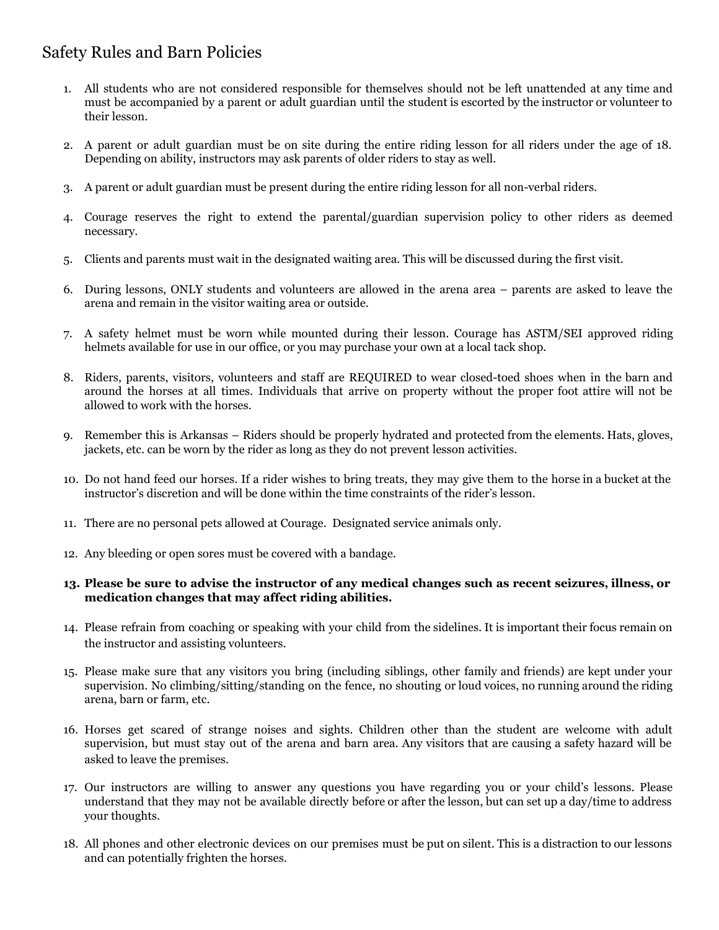# Safety Rules and Barn Policies

- 1. All students who are not considered responsible for themselves should not be left unattended at any time and must be accompanied by a parent or adult guardian until the student is escorted by the instructor or volunteer to their lesson.
- 2. A parent or adult guardian must be on site during the entire riding lesson for all riders under the age of 18. Depending on ability, instructors may ask parents of older riders to stay as well.
- 3. A parent or adult guardian must be present during the entire riding lesson for all non-verbal riders.
- 4. Courage reserves the right to extend the parental/guardian supervision policy to other riders as deemed necessary.
- 5. Clients and parents must wait in the designated waiting area. This will be discussed during the first visit.
- 6. During lessons, ONLY students and volunteers are allowed in the arena area parents are asked to leave the arena and remain in the visitor waiting area or outside.
- 7. A safety helmet must be worn while mounted during their lesson. Courage has ASTM/SEI approved riding helmets available for use in our office, or you may purchase your own at a local tack shop.
- 8. Riders, parents, visitors, volunteers and staff are REQUIRED to wear closed-toed shoes when in the barn and around the horses at all times. Individuals that arrive on property without the proper foot attire will not be allowed to work with the horses.
- 9. Remember this is Arkansas Riders should be properly hydrated and protected from the elements. Hats, gloves, jackets, etc. can be worn by the rider as long as they do not prevent lesson activities.
- 10. Do not hand feed our horses. If a rider wishes to bring treats, they may give them to the horse in a bucket at the instructor's discretion and will be done within the time constraints of the rider's lesson.
- 11. There are no personal pets allowed at Courage. Designated service animals only.
- 12. Any bleeding or open sores must be covered with a bandage.

### 13. Please be sure to advise the instructor of any medical changes such as recent seizures, illness, or **medication changes that may affect riding abilities.**

- 14. Please refrain from coaching or speaking with your child from the sidelines. It is important their focus remain on the instructor and assisting volunteers.
- 15. Please make sure that any visitors you bring (including siblings, other family and friends) are kept under your supervision. No climbing/sitting/standing on the fence, no shouting or loud voices, no running around the riding arena, barn or farm, etc.
- 16. Horses get scared of strange noises and sights. Children other than the student are welcome with adult supervision, but must stay out of the arena and barn area. Any visitors that are causing a safety hazard will be asked to leave the premises.
- 17. Our instructors are willing to answer any questions you have regarding you or your child's lessons. Please understand that they may not be available directly before or after the lesson, but can set up a day/time to address your thoughts.
- 18. All phones and other electronic devices on our premises must be put on silent. This is a distraction to our lessons and can potentially frighten the horses.